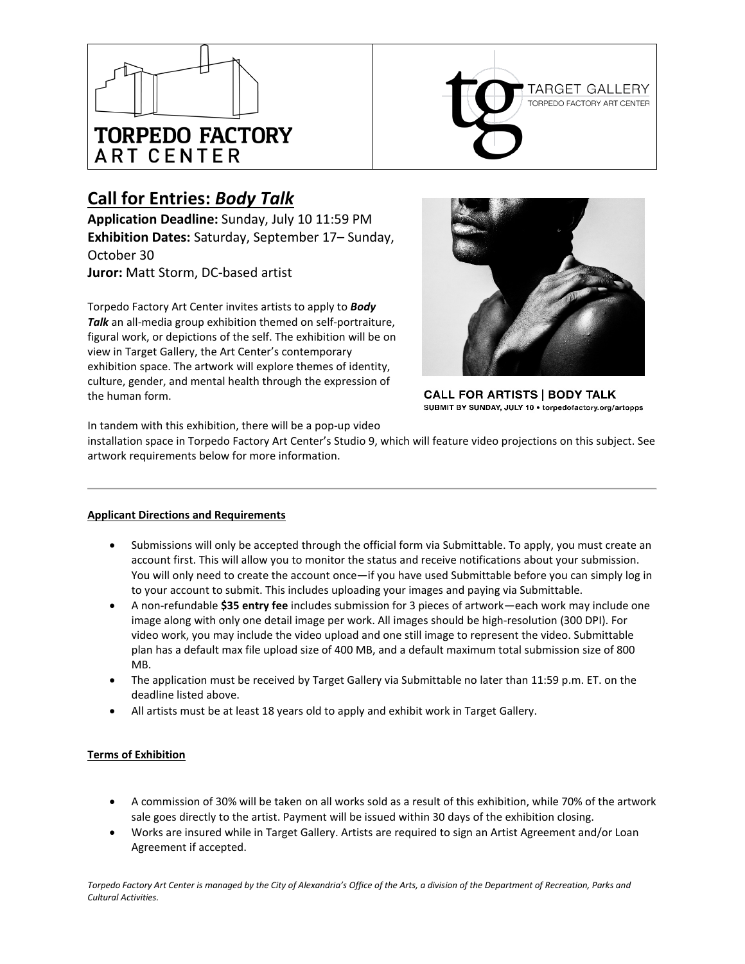



# **Call for Entries:** *Body Talk*

**Application Deadline:** Sunday, July 10 11:59 PM **Exhibition Dates:** Saturday, September 17– Sunday, October 30

**Juror:** Matt Storm, DC-based artist

Torpedo Factory Art Center invites artists to apply to *Body Talk* an all-media group exhibition themed on self-portraiture, figural work, or depictions of the self. The exhibition will be on view in Target Gallery, the Art Center's contemporary exhibition space. The artwork will explore themes of identity, culture, gender, and mental health through the expression of the human form.



**CALL FOR ARTISTS | BODY TALK** SUBMIT BY SUNDAY, JULY 10 · torpedofactory.org/artopps

In tandem with this exhibition, there will be a pop-up video

installation space in Torpedo Factory Art Center's Studio 9, which will feature video projections on this subject. See artwork requirements below for more information.

# **Applicant Directions and Requirements**

- Submissions will only be accepted through the official form via Submittable. To apply, you must create an account first. This will allow you to monitor the status and receive notifications about your submission. You will only need to create the account once—if you have used Submittable before you can simply log in to your account to submit. This includes uploading your images and paying via Submittable.
- A non-refundable **\$35 entry fee** includes submission for 3 pieces of artwork—each work may include one image along with only one detail image per work. All images should be high-resolution (300 DPI). For video work, you may include the video upload and one still image to represent the video. Submittable plan has a default max file upload size of 400 MB, and a default maximum total submission size of 800 MB.
- The application must be received by Target Gallery via Submittable no later than 11:59 p.m. ET. on the deadline listed above.
- All artists must be at least 18 years old to apply and exhibit work in Target Gallery.

# **Terms of Exhibition**

- A commission of 30% will be taken on all works sold as a result of this exhibition, while 70% of the artwork sale goes directly to the artist. Payment will be issued within 30 days of the exhibition closing.
- Works are insured while in Target Gallery. Artists are required to sign an Artist Agreement and/or Loan Agreement if accepted.

*Torpedo Factory Art Center is managed by the City of Alexandria's Office of the Arts, a division of the Department of Recreation, Parks and Cultural Activities.*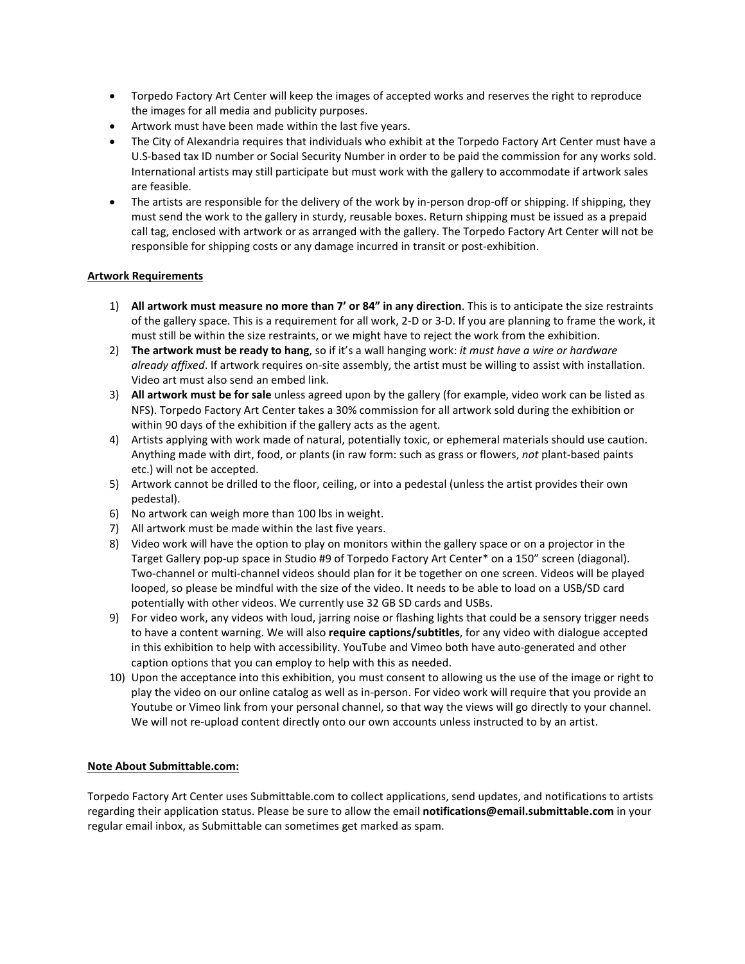- Torpedo Factory Art Center will keep the images of accepted works and reserves the right to reproduce the images for all media and publicity purposes.
- Artwork must have been made within the last five years.
- The City of Alexandria requires that individuals who exhibit at the Torpedo Factory Art Center must have a U.S-based tax ID number or Social Security Number in order to be paid the commission for any works sold. International artists may still participate but must work with the gallery to accommodate if artwork sales are feasible.
- The artists are responsible for the delivery of the work by in-person drop-off or shipping. If shipping, they must send the work to the gallery in sturdy, reusable boxes. Return shipping must be issued as a prepaid call tag, enclosed with artwork or as arranged with the gallery. The Torpedo Factory Art Center will not be responsible for shipping costs or any damage incurred in transit or post-exhibition.

## **Artwork Requirements**

- 1) **All artwork must measure no more than 7' or 84" in any direction**. This is to anticipate the size restraints of the gallery space. This is a requirement for all work, 2-D or 3-D. If you are planning to frame the work, it must still be within the size restraints, or we might have to reject the work from the exhibition.
- 2) **The artwork must be ready to hang**, so if it's a wall hanging work: *it must have a wire or hardware already affixed*. If artwork requires on-site assembly, the artist must be willing to assist with installation. Video art must also send an embed link.
- 3) **All artwork must be for sale** unless agreed upon by the gallery (for example, video work can be listed as NFS). Torpedo Factory Art Center takes a 30% commission for all artwork sold during the exhibition or within 90 days of the exhibition if the gallery acts as the agent.
- 4) Artists applying with work made of natural, potentially toxic, or ephemeral materials should use caution. Anything made with dirt, food, or plants (in raw form: such as grass or flowers, *not* plant-based paints etc.) will not be accepted.
- 5) Artwork cannot be drilled to the floor, ceiling, or into a pedestal (unless the artist provides their own pedestal).
- 6) No artwork can weigh more than 100 lbs in weight.
- 7) All artwork must be made within the last five years.
- 8) Video work will have the option to play on monitors within the gallery space or on a projector in the Target Gallery pop-up space in Studio #9 of Torpedo Factory Art Center\* on a 150" screen (diagonal). Two-channel or multi-channel videos should plan for it be together on one screen. Videos will be played looped, so please be mindful with the size of the video. It needs to be able to load on a USB/SD card potentially with other videos. We currently use 32 GB SD cards and USBs.
- 9) For video work, any videos with loud, jarring noise or flashing lights that could be a sensory trigger needs to have a content warning. We will also **require captions/subtitles**, for any video with dialogue accepted in this exhibition to help with accessibility. YouTube and Vimeo both have auto-generated and other caption options that you can employ to help with this as needed.
- 10) Upon the acceptance into this exhibition, you must consent to allowing us the use of the image or right to play the video on our online catalog as well as in-person. For video work will require that you provide an Youtube or Vimeo link from your personal channel, so that way the views will go directly to your channel. We will not re-upload content directly onto our own accounts unless instructed to by an artist.

## **Note About Submittable.com:**

Torpedo Factory Art Center uses Submittable.com to collect applications, send updates, and notifications to artists regarding their application status. Please be sure to allow the email **notifications@email.submittable.com** in your regular email inbox, as Submittable can sometimes get marked as spam.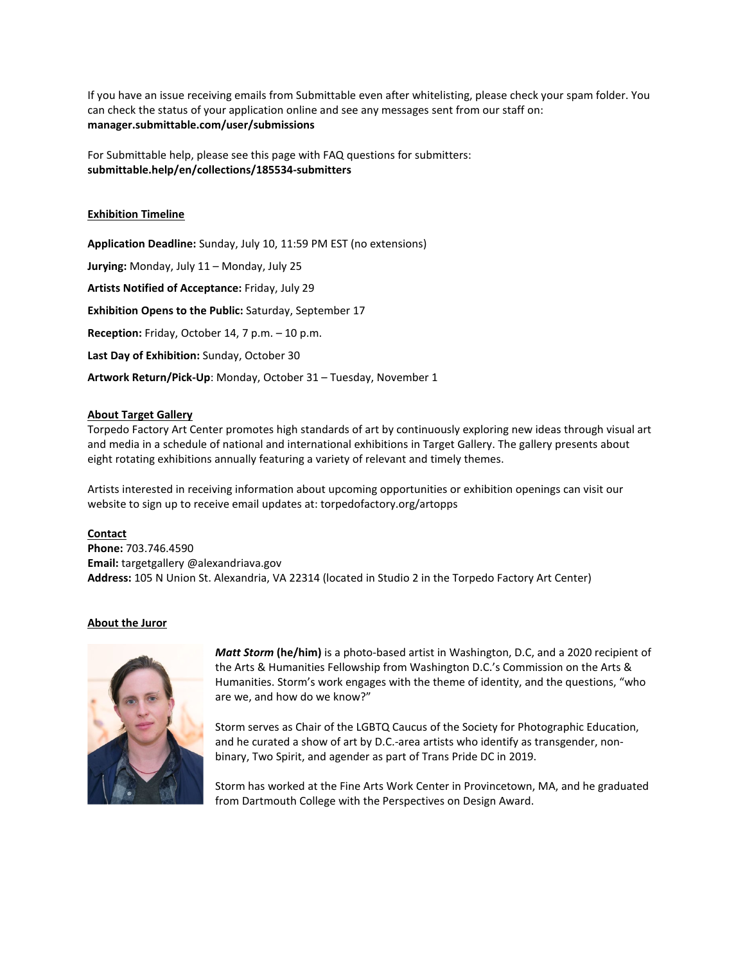If you have an issue receiving emails from Submittable even after whitelisting, please check your spam folder. You can check the status of your application online and see any messages sent from our staff on: **manager.submittable.com/user/submissions**

For Submittable help, please see this page with FAQ questions for submitters: **submittable.help/en/collections/185534-submitters**

### **Exhibition Timeline**

**Application Deadline:** Sunday, July 10, 11:59 PM EST (no extensions) **Jurying:** Monday, July 11 – Monday, July 25 **Artists Notified of Acceptance:** Friday, July 29 **Exhibition Opens to the Public:** Saturday, September 17 **Reception:** Friday, October 14, 7 p.m. – 10 p.m. **Last Day of Exhibition:** Sunday, October 30 **Artwork Return/Pick-Up**: Monday, October 31 – Tuesday, November 1

#### **About Target Gallery**

Torpedo Factory Art Center promotes high standards of art by continuously exploring new ideas through visual art and media in a schedule of national and international exhibitions in Target Gallery. The gallery presents about eight rotating exhibitions annually featuring a variety of relevant and timely themes.

Artists interested in receiving information about upcoming opportunities or exhibition openings can visit our website to sign up to receive email updates at: torpedofactory.org/artopps

#### **Contact**

**Phone:** 703.746.4590 **Email:** targetgallery @alexandriava.gov **Address:** 105 N Union St. Alexandria, VA 22314 (located in Studio 2 in the Torpedo Factory Art Center)

#### **About the Juror**



*Matt Storm* **(he/him)** is a photo-based artist in Washington, D.C, and a 2020 recipient of the Arts & Humanities Fellowship from Washington D.C.'s Commission on the Arts & Humanities. Storm's work engages with the theme of identity, and the questions, "who are we, and how do we know?"

Storm serves as Chair of the LGBTQ Caucus of the Society for Photographic Education, and he curated a show of art by D.C.-area artists who identify as transgender, nonbinary, Two Spirit, and agender as part of Trans Pride DC in 2019.

Storm has worked at the Fine Arts Work Center in Provincetown, MA, and he graduated from Dartmouth College with the Perspectives on Design Award.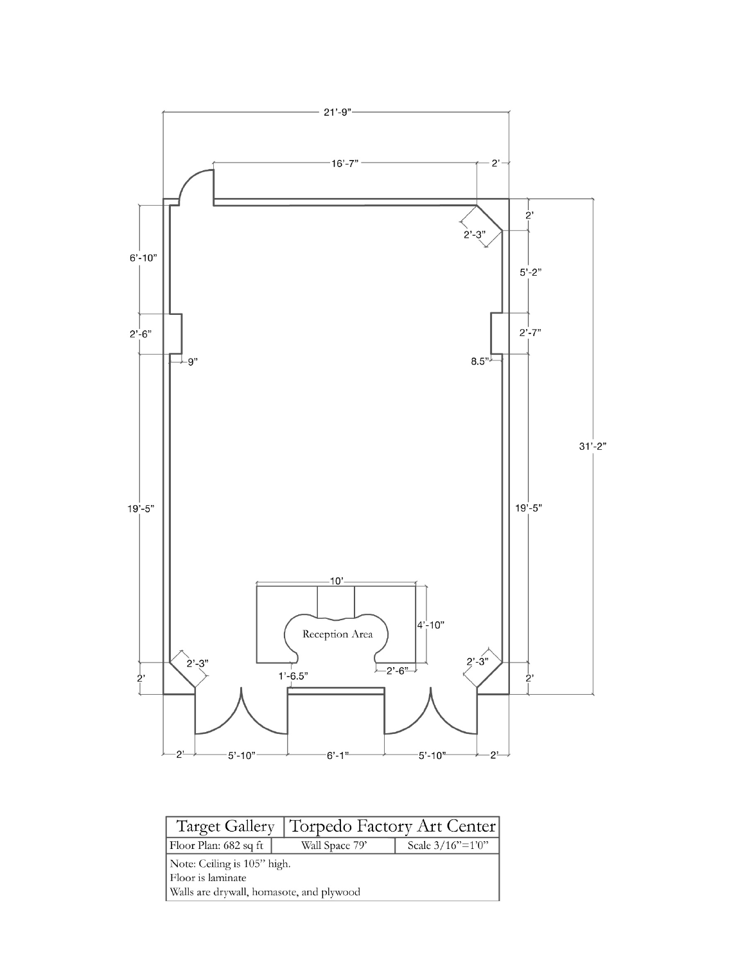

|                                          |  | Target Gallery   Torpedo Factory Art Center |                  |  |
|------------------------------------------|--|---------------------------------------------|------------------|--|
| Floor Plan: 682 sq ft                    |  | Wall Space 79'                              | Scale 3/16"=1'0" |  |
| Note: Ceiling is 105" high.              |  |                                             |                  |  |
| Floor is laminate                        |  |                                             |                  |  |
| Walls are drywall, homasote, and plywood |  |                                             |                  |  |